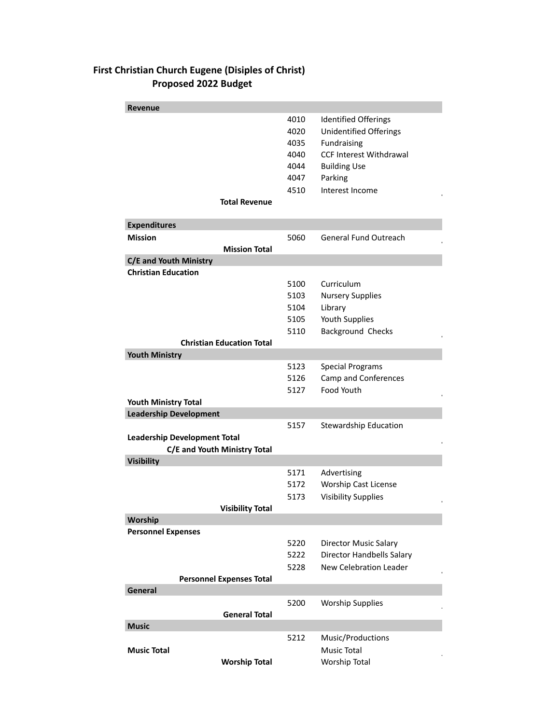## **First Christian Church Eugene (Disiples of Christ) Proposed 2022 Budget**

| <b>Revenue</b>                      |      |                                |
|-------------------------------------|------|--------------------------------|
|                                     | 4010 | <b>Identified Offerings</b>    |
|                                     | 4020 | <b>Unidentified Offerings</b>  |
|                                     | 4035 | Fundraising                    |
|                                     | 4040 | <b>CCF Interest Withdrawal</b> |
|                                     | 4044 | <b>Building Use</b>            |
|                                     | 4047 | Parking                        |
|                                     | 4510 | Interest Income                |
| <b>Total Revenue</b>                |      |                                |
| <b>Expenditures</b>                 |      |                                |
| <b>Mission</b>                      | 5060 | <b>General Fund Outreach</b>   |
| <b>Mission Total</b>                |      |                                |
| C/E and Youth Ministry              |      |                                |
| <b>Christian Education</b>          |      |                                |
|                                     | 5100 | Curriculum                     |
|                                     | 5103 | <b>Nursery Supplies</b>        |
|                                     | 5104 | Library                        |
|                                     | 5105 | Youth Supplies                 |
|                                     | 5110 | Background Checks              |
| <b>Christian Education Total</b>    |      |                                |
| <b>Youth Ministry</b>               |      |                                |
|                                     | 5123 | <b>Special Programs</b>        |
|                                     | 5126 | Camp and Conferences           |
|                                     | 5127 | Food Youth                     |
| <b>Youth Ministry Total</b>         |      |                                |
| <b>Leadership Development</b>       |      |                                |
|                                     | 5157 | <b>Stewardship Education</b>   |
| <b>Leadership Development Total</b> |      |                                |
| C/E and Youth Ministry Total        |      |                                |
| <b>Visibility</b>                   |      |                                |
|                                     | 5171 | Advertising                    |
|                                     | 5172 | <b>Worship Cast License</b>    |
|                                     | 5173 | <b>Visibility Supplies</b>     |
| <b>Visibility Total</b>             |      |                                |
| Worship                             |      |                                |
| <b>Personnel Expenses</b>           |      |                                |
|                                     | 5220 | <b>Director Music Salary</b>   |
|                                     | 5222 | Director Handbells Salary      |
|                                     | 5228 | <b>New Celebration Leader</b>  |
| <b>Personnel Expenses Total</b>     |      |                                |
| General                             |      |                                |
|                                     | 5200 | <b>Worship Supplies</b>        |
| <b>General Total</b>                |      |                                |
| <b>Music</b>                        |      |                                |
|                                     | 5212 | Music/Productions              |
| <b>Music Total</b>                  |      | <b>Music Total</b>             |
| <b>Worship Total</b>                |      | Worship Total                  |
|                                     |      |                                |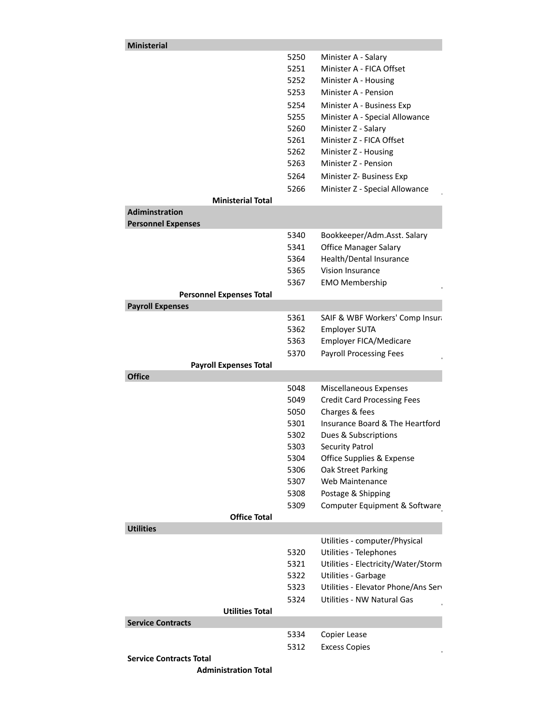| <b>Ministerial</b>              |              |                                                   |
|---------------------------------|--------------|---------------------------------------------------|
|                                 | 5250         | Minister A - Salary                               |
|                                 | 5251         | Minister A - FICA Offset                          |
|                                 | 5252         | Minister A - Housing                              |
|                                 | 5253         | Minister A - Pension                              |
|                                 | 5254         | Minister A - Business Exp                         |
|                                 | 5255         | Minister A - Special Allowance                    |
|                                 | 5260         | Minister Z - Salary                               |
|                                 | 5261         | Minister Z - FICA Offset                          |
|                                 | 5262         | Minister Z - Housing                              |
|                                 | 5263         | Minister Z - Pension                              |
|                                 | 5264         | Minister Z- Business Exp                          |
|                                 | 5266         | Minister Z - Special Allowance                    |
| <b>Ministerial Total</b>        |              |                                                   |
| <b>Adiminstration</b>           |              |                                                   |
| <b>Personnel Expenses</b>       |              |                                                   |
|                                 | 5340         | Bookkeeper/Adm.Asst. Salary                       |
|                                 | 5341         | <b>Office Manager Salary</b>                      |
|                                 | 5364         | Health/Dental Insurance                           |
|                                 | 5365         | Vision Insurance                                  |
|                                 | 5367         | <b>EMO Membership</b>                             |
| <b>Personnel Expenses Total</b> |              |                                                   |
| <b>Payroll Expenses</b>         |              |                                                   |
|                                 | 5361         | SAIF & WBF Workers' Comp Insura                   |
|                                 | 5362         | <b>Employer SUTA</b>                              |
|                                 | 5363         | Employer FICA/Medicare                            |
|                                 | 5370         | <b>Payroll Processing Fees</b>                    |
| <b>Payroll Expenses Total</b>   |              |                                                   |
| <b>Office</b>                   |              |                                                   |
|                                 | 5048<br>5049 | Miscellaneous Expenses                            |
|                                 | 5050         | <b>Credit Card Processing Fees</b>                |
|                                 | 5301         | Charges & fees<br>Insurance Board & The Heartford |
|                                 | 5302         | Dues & Subscriptions                              |
|                                 |              |                                                   |
|                                 | 5303         | <b>Security Patrol</b>                            |
|                                 | 5304<br>5306 | Office Supplies & Expense<br>Oak Street Parking   |
|                                 | 5307         | Web Maintenance                                   |
|                                 | 5308         | Postage & Shipping                                |
|                                 |              |                                                   |
| <b>Office Total</b>             | 5309         | Computer Equipment & Software                     |
| <b>Utilities</b>                |              |                                                   |
|                                 |              | Utilities - computer/Physical                     |
|                                 | 5320         | Utilities - Telephones                            |
|                                 | 5321         | Utilities - Electricity/Water/Storm               |
|                                 | 5322         | Utilities - Garbage                               |
|                                 | 5323         | Utilities - Elevator Phone/Ans Serv               |
|                                 | 5324         | Utilities - NW Natural Gas                        |
| <b>Utilities Total</b>          |              |                                                   |
| <b>Service Contracts</b>        |              |                                                   |
|                                 | 5334         | Copier Lease                                      |
|                                 | 5312         | <b>Excess Copies</b>                              |
| <b>Service Contracts Total</b>  |              |                                                   |
| <b>Administration Total</b>     |              |                                                   |
|                                 |              |                                                   |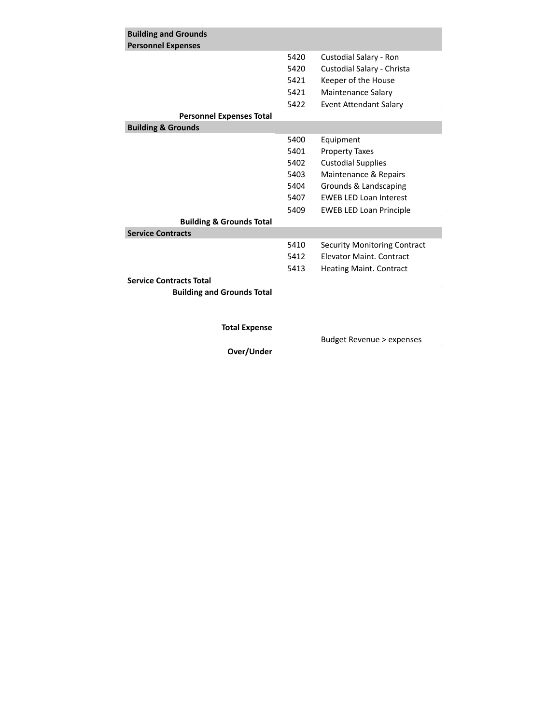| <b>Building and Grounds</b>         |      |                                     |
|-------------------------------------|------|-------------------------------------|
| <b>Personnel Expenses</b>           |      |                                     |
|                                     | 5420 | Custodial Salary - Ron              |
|                                     | 5420 | Custodial Salary - Christa          |
|                                     | 5421 | Keeper of the House                 |
|                                     | 5421 | Maintenance Salary                  |
|                                     | 5422 | Event Attendant Salary              |
| <b>Personnel Expenses Total</b>     |      |                                     |
| <b>Building &amp; Grounds</b>       |      |                                     |
|                                     | 5400 | Equipment                           |
|                                     | 5401 | <b>Property Taxes</b>               |
|                                     | 5402 | <b>Custodial Supplies</b>           |
|                                     | 5403 | Maintenance & Repairs               |
|                                     | 5404 | Grounds & Landscaping               |
|                                     | 5407 | <b>EWEB LED Loan Interest</b>       |
|                                     | 5409 | <b>EWEB LED Loan Principle</b>      |
| <b>Building &amp; Grounds Total</b> |      |                                     |
| <b>Service Contracts</b>            |      |                                     |
|                                     | 5410 | <b>Security Monitoring Contract</b> |
|                                     | 5412 | <b>Flevator Maint, Contract</b>     |
|                                     | 5413 | Heating Maint. Contract             |
| <b>Service Contracts Total</b>      |      |                                     |
| <b>Building and Grounds Total</b>   |      |                                     |
|                                     |      |                                     |
|                                     |      |                                     |

**Total Expense**

Budget Revenue > expenses

 $\bar{z}$ 

**Over/Under**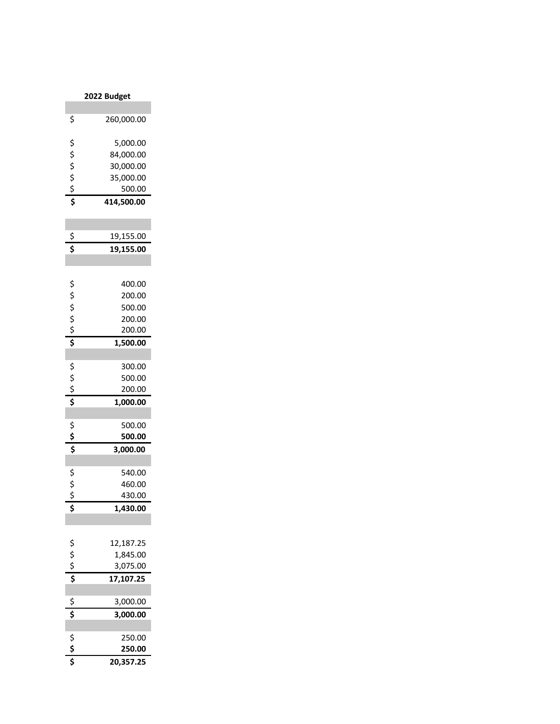| 2022 Budget            |                  |  |
|------------------------|------------------|--|
|                        |                  |  |
| \$                     | 260,000.00       |  |
| \$                     | 5,000.00         |  |
|                        | 84,000.00        |  |
|                        | 30,000.00        |  |
|                        | 35,000.00        |  |
|                        | 500.00           |  |
| $555$<br>$57$          | 414,500.00       |  |
|                        |                  |  |
|                        | 19,155.00        |  |
| \$<br>\$               | 19,155.00        |  |
|                        |                  |  |
|                        | 400.00           |  |
| \$\$\$\$\$             | 200.00           |  |
|                        | 500.00           |  |
|                        | 200.00           |  |
|                        | 200.00           |  |
|                        | 1,500.00         |  |
|                        |                  |  |
|                        | 300.00           |  |
|                        | 500.00           |  |
| \$\$\$                 | 200.00           |  |
|                        | 1,000.00         |  |
|                        |                  |  |
|                        | 500.00           |  |
| $55$<br>$5\frac{1}{5}$ | 500.00           |  |
|                        | 3,000.00         |  |
|                        |                  |  |
|                        | 540.00           |  |
| \$\$\$                 | 460.00<br>430.00 |  |
|                        |                  |  |
| \$                     | 1,430.00         |  |
|                        |                  |  |
| 5557                   | 12,187.25        |  |
|                        | 1,845.00         |  |
|                        | 3,075.00         |  |
|                        | 17,107.25        |  |
|                        | 3,000.00         |  |
| \$<br>\$               | 3,000.00         |  |
|                        |                  |  |
| $\frac{5}{5}$          | 250.00           |  |
|                        | 250.00           |  |
|                        | 20,357.25        |  |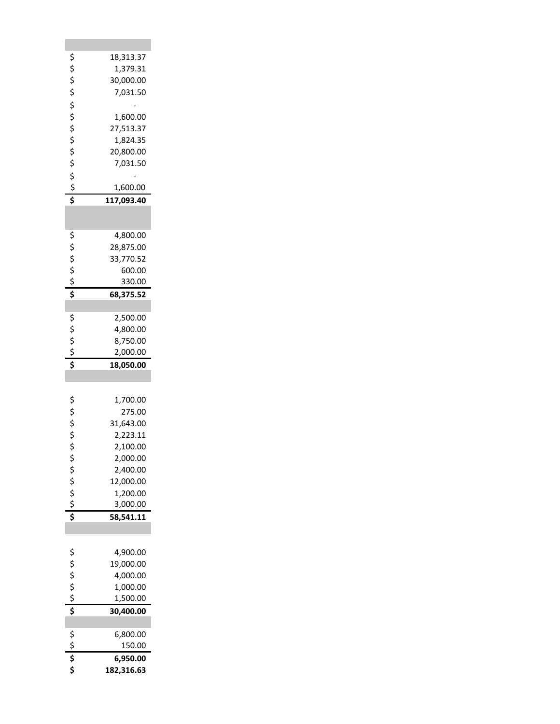|                | 18,313.37              |
|----------------|------------------------|
|                |                        |
|                | 1,379.31               |
|                | 30,000.00              |
|                | 7,031.50               |
|                |                        |
|                |                        |
|                | 1,600.00               |
|                | 27,513.37              |
|                | 1,824.35               |
|                | 20,800.00              |
|                | 7,031.50               |
|                |                        |
|                |                        |
|                | 1,600.00               |
| やややや そそそそそ ややし | 117,093.40             |
|                |                        |
|                |                        |
|                | 4,800.00               |
|                | 28,875.00              |
|                | 33,770.52              |
|                |                        |
|                | 600.00                 |
| らくら こうしょう      | 330.00                 |
|                | 68,375.52              |
|                |                        |
|                | 2,500.00               |
|                | 4,800.00               |
|                |                        |
|                | 8,750.00               |
|                | 2,000.00               |
|                |                        |
| \$\$\$\$\$     | 18,050.00              |
|                |                        |
|                |                        |
|                |                        |
|                | 1,700.00               |
|                | 275.00                 |
|                | 31,643.00              |
|                |                        |
|                | 2,223.11               |
| ややみ や          | 2,100.00               |
| \$             | 2,000.00               |
|                | 2,400.00               |
|                | 12,000.00              |
|                | 1,200.00               |
|                |                        |
|                | 3,000.00               |
| \$\$\$\$       | 58,541.11              |
|                |                        |
|                |                        |
|                | 4,900.00               |
|                | 19,000.00              |
|                |                        |
|                | 4,000.00               |
|                | 1,000.00               |
|                | 1,500.00               |
| らくら こうし        | 30,400.00              |
|                |                        |
|                | 6,800.00               |
|                |                        |
|                | 150.00                 |
| \$\$\$         | 6,950.00<br>182,316.63 |

**College**